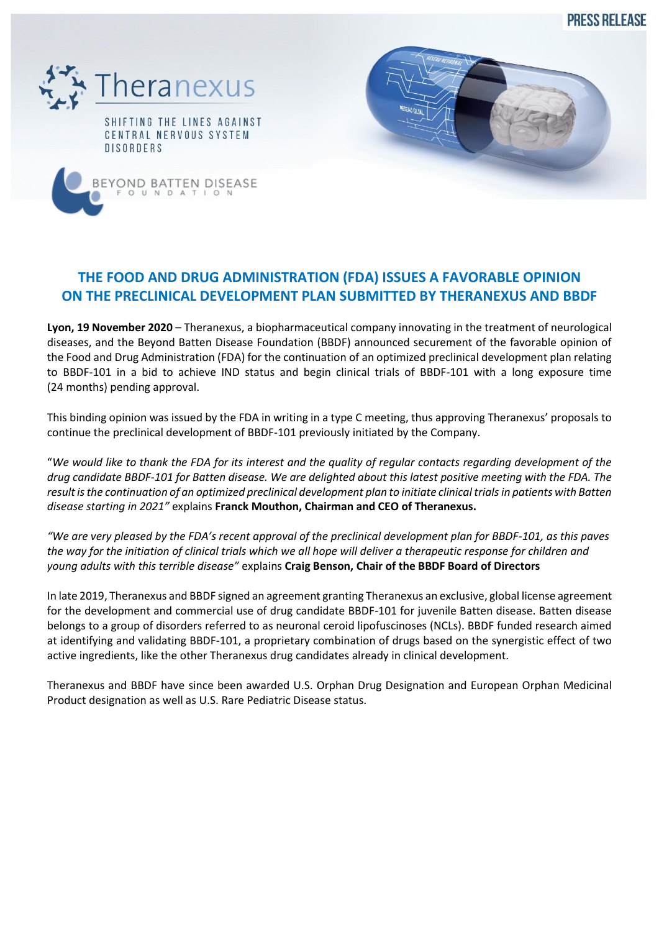**PRESS REI FASE** 





OND BATTEN DISEASE

## **THE FOOD AND DRUG ADMINISTRATION (FDA) ISSUES A FAVORABLE OPINION ON THE PRECLINICAL DEVELOPMENT PLAN SUBMITTED BY THERANEXUS AND BBDF**

**Lyon, 19 November 2020** – Theranexus, a biopharmaceutical company innovating in the treatment of neurological diseases, and the Beyond Batten Disease Foundation (BBDF) announced securement of the favorable opinion of the Food and Drug Administration (FDA) for the continuation of an optimized preclinical development plan relating to BBDF-101 in a bid to achieve IND status and begin clinical trials of BBDF-101 with a long exposure time (24 months) pending approval.

This binding opinion was issued by the FDA in writing in a type C meeting, thus approving Theranexus' proposals to continue the preclinical development of BBDF-101 previously initiated by the Company.

"*We would like to thank the FDA for its interest and the quality of regular contacts regarding development of the drug candidate BBDF-101 for Batten disease. We are delighted about this latest positive meeting with the FDA. The result is the continuation of an optimized preclinical development plan to initiate clinical trials in patients with Batten disease starting in 2021"* explains **Franck Mouthon, Chairman and CEO of Theranexus.**

*"We are very pleased by the FDA's recent approval of the preclinical development plan for BBDF-101, as this paves the way for the initiation of clinical trials which we all hope will deliver a therapeutic response for children and young adults with this terrible disease"* explains **Craig Benson, Chair of the BBDF Board of Directors**

In late 2019, Theranexus and BBDF signed an agreement granting Theranexus an exclusive, global license agreement for the development and commercial use of drug candidate BBDF-101 for juvenile Batten disease. Batten disease belongs to a group of disorders referred to as neuronal ceroid lipofuscinoses (NCLs). BBDF funded research aimed at identifying and validating BBDF-101, a proprietary combination of drugs based on the synergistic effect of two active ingredients, like the other Theranexus drug candidates already in clinical development.

Theranexus and BBDF have since been awarded U.S. Orphan Drug Designation and European Orphan Medicinal Product designation as well as U.S. Rare Pediatric Disease status.